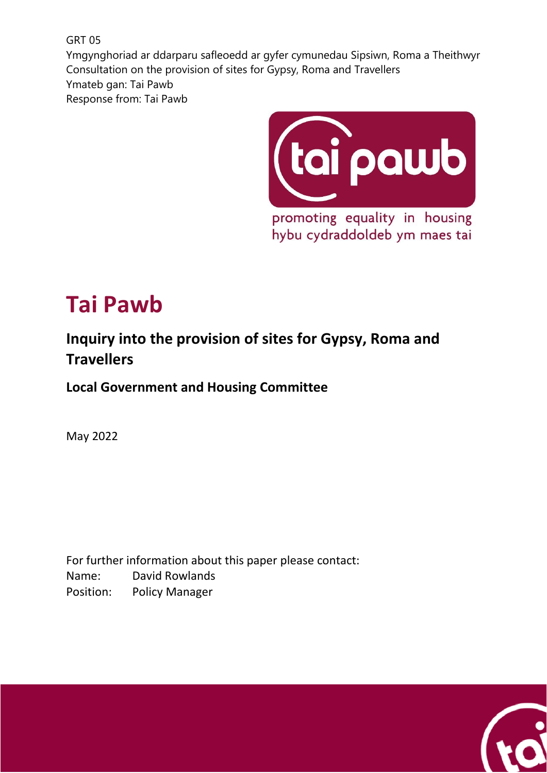GRT 05 Ymgynghoriad ar ddarparu safleoedd ar gyfer cymunedau Sipsiwn, Roma a Theithwyr Consultation on the provision of sites for Gypsy, Roma and Travellers Ymateb gan: Tai Pawb Response from: Tai Pawb



promoting equality in housing hybu cydraddoldeb ym maes tai

# **Tai Pawb**

# **Inquiry into the provision of sites for Gypsy, Roma and Travellers**

**Local Government and Housing Committee**

May 2022

For further information about this paper please contact: Name: David Rowlands Position: Policy Manager

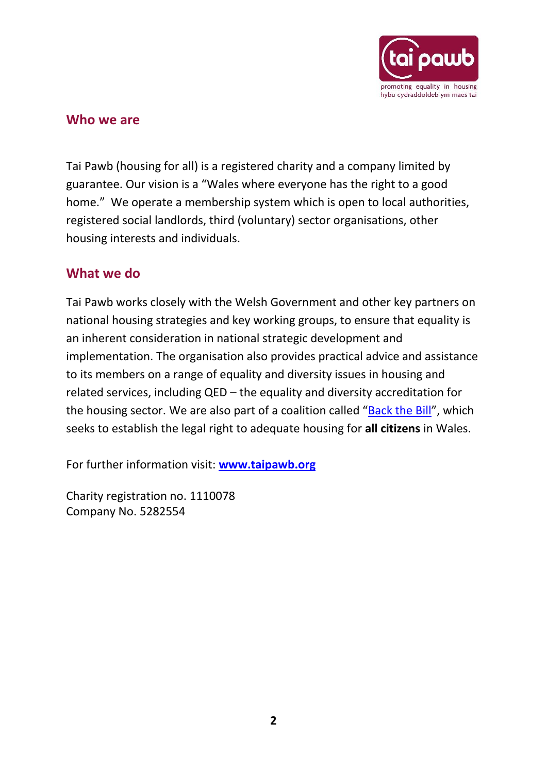

#### **Who we are**

Tai Pawb (housing for all) is a registered charity and a company limited by guarantee. Our vision is a "Wales where everyone has the right to a good home." We operate a membership system which is open to local authorities, registered social landlords, third (voluntary) sector organisations, other housing interests and individuals.

# **What we do**

Tai Pawb works closely with the Welsh Government and other key partners on national housing strategies and key working groups, to ensure that equality is an inherent consideration in national strategic development and implementation. The organisation also provides practical advice and assistance to its members on a range of equality and diversity issues in housing and related services, including QED – the equality and diversity accreditation for the housing sector. We are also part of a coalition called "[Back the Bill](https://www.taipawb.org/policy-influencing/backthebill/)", which seeks to establish the legal right to adequate housing for **all citizens** in Wales.

For further information visit: **[www.taipawb.org](http://www.taipawb.org/)**

Charity registration no. 1110078 Company No. 5282554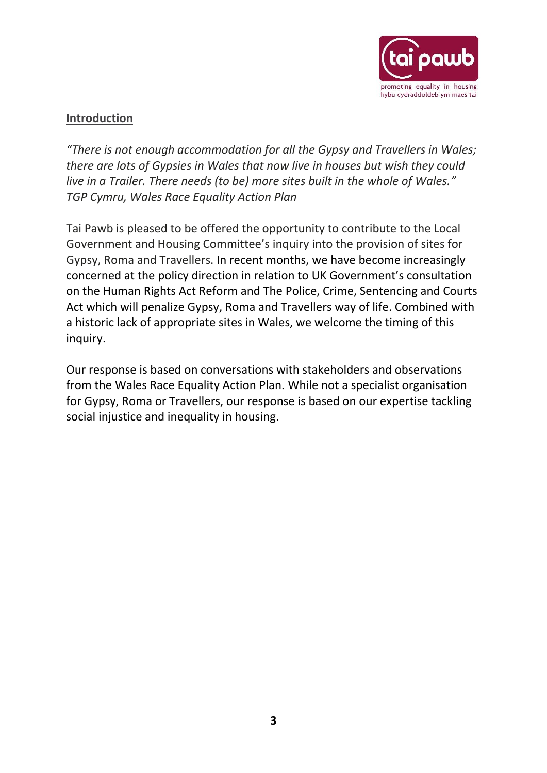

# **Introduction**

*"There is not enough accommodation for all the Gypsy and Travellers in Wales; there are lots of Gypsies in Wales that now live in houses but wish they could live in a Trailer. There needs (to be) more sites built in the whole of Wales." TGP Cymru, Wales Race Equality Action Plan*

Tai Pawb is pleased to be offered the opportunity to contribute to the Local Government and Housing Committee's inquiry into the provision of sites for Gypsy, Roma and Travellers. In recent months, we have become increasingly concerned at the policy direction in relation to UK Government's consultation on the Human Rights Act Reform and The Police, Crime, Sentencing and Courts Act which will penalize Gypsy, Roma and Travellers way of life. Combined with a historic lack of appropriate sites in Wales, we welcome the timing of this inquiry.

Our response is based on conversations with stakeholders and observations from the Wales Race Equality Action Plan. While not a specialist organisation for Gypsy, Roma or Travellers, our response is based on our expertise tackling social injustice and inequality in housing.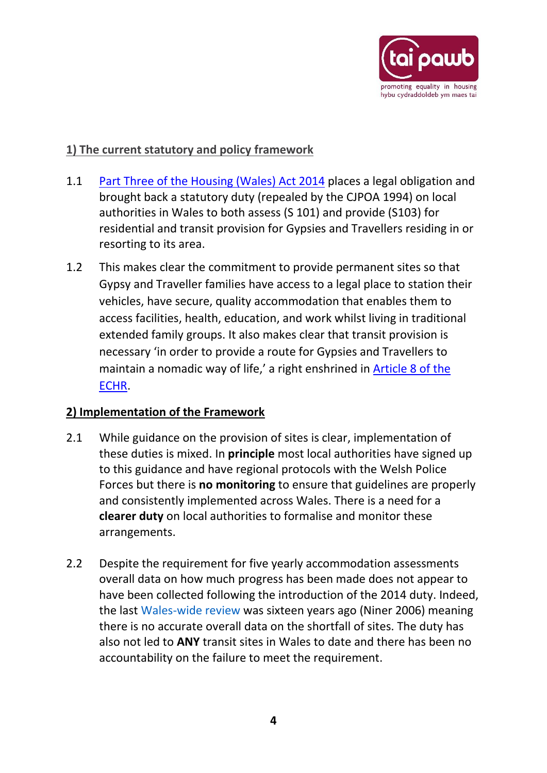

# **1) The current statutory and policy framework**

- 1.1 [Part Three of the Housing \(Wales\) Act 2014](https://www.legislation.gov.uk/anaw/2014/7/part/3) places a legal obligation and brought back a statutory duty (repealed by the CJPOA 1994) on local authorities in Wales to both assess (S 101) and provide (S103) for residential and transit provision for Gypsies and Travellers residing in or resorting to its area.
- 1.2 This makes clear the commitment to provide permanent sites so that Gypsy and Traveller families have access to a legal place to station their vehicles, have secure, quality accommodation that enables them to access facilities, health, education, and work whilst living in traditional extended family groups. It also makes clear that transit provision is necessary 'in order to provide a route for Gypsies and Travellers to maintain a nomadic way of life,' a right enshrined in [Article 8 of the](https://www.equalityhumanrights.com/en/human-rights-act/article-8-respect-your-private-and-family-life)  [ECHR.](https://www.equalityhumanrights.com/en/human-rights-act/article-8-respect-your-private-and-family-life)

# **2) Implementation of the Framework**

- 2.1 While guidance on the provision of sites is clear, implementation of these duties is mixed. In **principle** most local authorities have signed up to this guidance and have regional protocols with the Welsh Police Forces but there is **no monitoring** to ensure that guidelines are properly and consistently implemented across Wales. There is a need for a **clearer duty** on local authorities to formalise and monitor these arrangements.
- 2.2 Despite the requirement for five yearly accommodation assessments overall data on how much progress has been made does not appear to have been collected following the introduction of the 2014 duty. Indeed, the last Wales-wide review was sixteen years ago (Niner 2006) meaning there is no accurate overall data on the shortfall of sites. The duty has also not led to **ANY** transit sites in Wales to date and there has been no accountability on the failure to meet the requirement.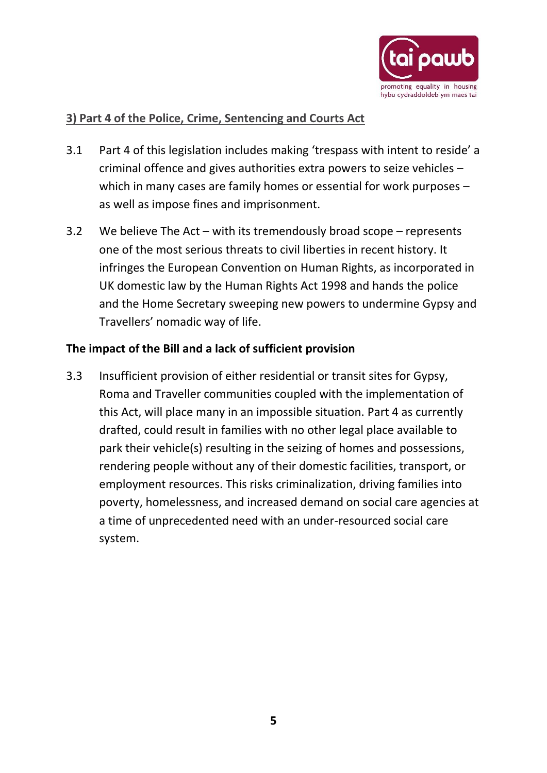

# **3) Part 4 of the Police, Crime, Sentencing and Courts Act**

- 3.1 Part 4 of this legislation includes making 'trespass with intent to reside' a criminal offence and gives authorities extra powers to seize vehicles – which in many cases are family homes or essential for work purposes – as well as impose fines and imprisonment.
- 3.2 We believe The Act with its tremendously broad scope represents one of the most serious threats to civil liberties in recent history. It infringes the European Convention on Human Rights, as incorporated in UK domestic law by the Human Rights Act 1998 and hands the police and the Home Secretary sweeping new powers to undermine Gypsy and Travellers' nomadic way of life.

#### **The impact of the Bill and a lack of sufficient provision**

3.3 Insufficient provision of either residential or transit sites for Gypsy, Roma and Traveller communities coupled with the implementation of this Act, will place many in an impossible situation. Part 4 as currently drafted, could result in families with no other legal place available to park their vehicle(s) resulting in the seizing of homes and possessions, rendering people without any of their domestic facilities, transport, or employment resources. This risks criminalization, driving families into poverty, homelessness, and increased demand on social care agencies at a time of unprecedented need with an under-resourced social care system.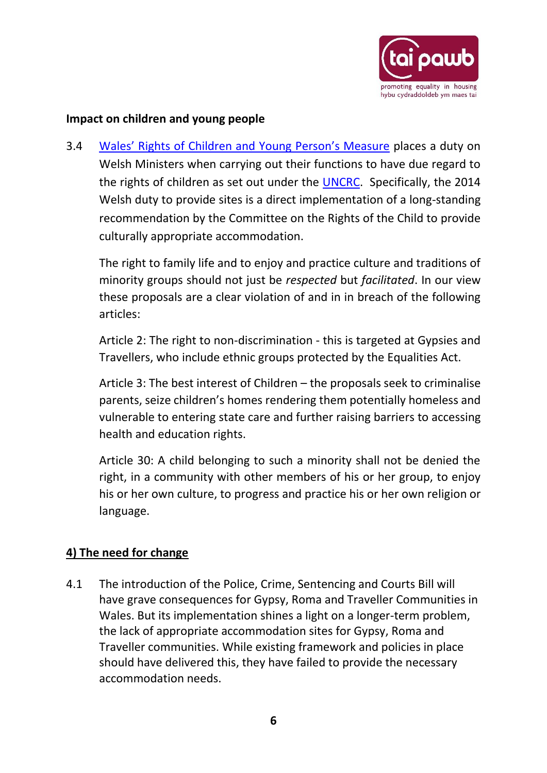

#### **Impact on children and young people**

3.4 [Wales' Rights of Children and Young Person's Measure](https://www.legislation.gov.uk/mwa/2011/2/contents) places a duty on Welsh Ministers when carrying out their functions to have due regard to the rights of children as set out under the [UNCRC.](https://www.unicef.org.uk/what-we-do/un-convention-child-rights/) Specifically, the 2014 Welsh duty to provide sites is a direct implementation of a long-standing recommendation by the Committee on the Rights of the Child to provide culturally appropriate accommodation.

The right to family life and to enjoy and practice culture and traditions of minority groups should not just be *respected* but *facilitated*. In our view these proposals are a clear violation of and in in breach of the following articles:

Article 2: The right to non-discrimination - this is targeted at Gypsies and Travellers, who include ethnic groups protected by the Equalities Act.

Article 3: The best interest of Children – the proposals seek to criminalise parents, seize children's homes rendering them potentially homeless and vulnerable to entering state care and further raising barriers to accessing health and education rights.

Article 30: A child belonging to such a minority shall not be denied the right, in a community with other members of his or her group, to enjoy his or her own culture, to progress and practice his or her own religion or language.

# **4) The need for change**

4.1 The introduction of the Police, Crime, Sentencing and Courts Bill will have grave consequences for Gypsy, Roma and Traveller Communities in Wales. But its implementation shines a light on a longer-term problem, the lack of appropriate accommodation sites for Gypsy, Roma and Traveller communities. While existing framework and policies in place should have delivered this, they have failed to provide the necessary accommodation needs.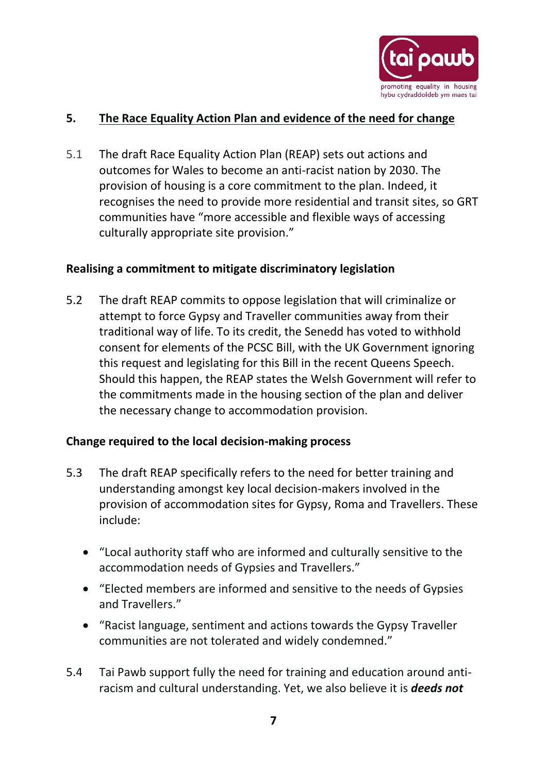

# **5. The Race Equality Action Plan and evidence of the need for change**

5.1 The draft Race Equality Action Plan (REAP) sets out actions and outcomes for Wales to become an anti-racist nation by 2030. The provision of housing is a core commitment to the plan. Indeed, it recognises the need to provide more residential and transit sites, so GRT communities have "more accessible and flexible ways of accessing culturally appropriate site provision."

#### **Realising a commitment to mitigate discriminatory legislation**

5.2 The draft REAP commits to oppose legislation that will criminalize or attempt to force Gypsy and Traveller communities away from their traditional way of life. To its credit, the Senedd has voted to withhold consent for elements of the PCSC Bill, with the UK Government ignoring this request and legislating for this Bill in the recent Queens Speech. Should this happen, the REAP states the Welsh Government will refer to the commitments made in the housing section of the plan and deliver the necessary change to accommodation provision.

#### **Change required to the local decision-making process**

- 5.3 The draft REAP specifically refers to the need for better training and understanding amongst key local decision-makers involved in the provision of accommodation sites for Gypsy, Roma and Travellers. These include:
	- "Local authority staff who are informed and culturally sensitive to the accommodation needs of Gypsies and Travellers."
	- "Elected members are informed and sensitive to the needs of Gypsies and Travellers."
	- "Racist language, sentiment and actions towards the Gypsy Traveller communities are not tolerated and widely condemned."
- 5.4 Tai Pawb support fully the need for training and education around antiracism and cultural understanding. Yet, we also believe it is *deeds not*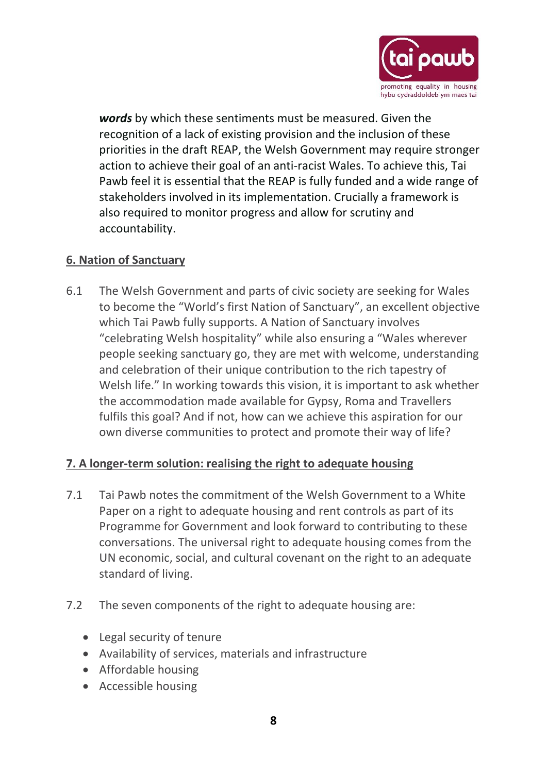

*words* by which these sentiments must be measured. Given the recognition of a lack of existing provision and the inclusion of these priorities in the draft REAP, the Welsh Government may require stronger action to achieve their goal of an anti-racist Wales. To achieve this, Tai Pawb feel it is essential that the REAP is fully funded and a wide range of stakeholders involved in its implementation. Crucially a framework is also required to monitor progress and allow for scrutiny and accountability.

#### **6. Nation of Sanctuary**

6.1 The Welsh Government and parts of civic society are seeking for Wales to become the "World's first Nation of Sanctuary", an excellent objective which Tai Pawb fully supports. A Nation of Sanctuary involves "celebrating Welsh hospitality" while also ensuring a "Wales wherever people seeking sanctuary go, they are met with welcome, understanding and celebration of their unique contribution to the rich tapestry of Welsh life." In working towards this vision, it is important to ask whether the accommodation made available for Gypsy, Roma and Travellers fulfils this goal? And if not, how can we achieve this aspiration for our own diverse communities to protect and promote their way of life?

#### **7. A longer-term solution: realising the right to adequate housing**

- 7.1 Tai Pawb notes the commitment of the Welsh Government to a White Paper on a right to adequate housing and rent controls as part of its Programme for Government and look forward to contributing to these conversations. The universal right to adequate housing comes from the UN economic, social, and cultural covenant on the right to an adequate standard of living.
- 7.2 The seven components of the right to adequate housing are:
	- Legal security of tenure
	- Availability of services, materials and infrastructure
	- Affordable housing
	- Accessible housing